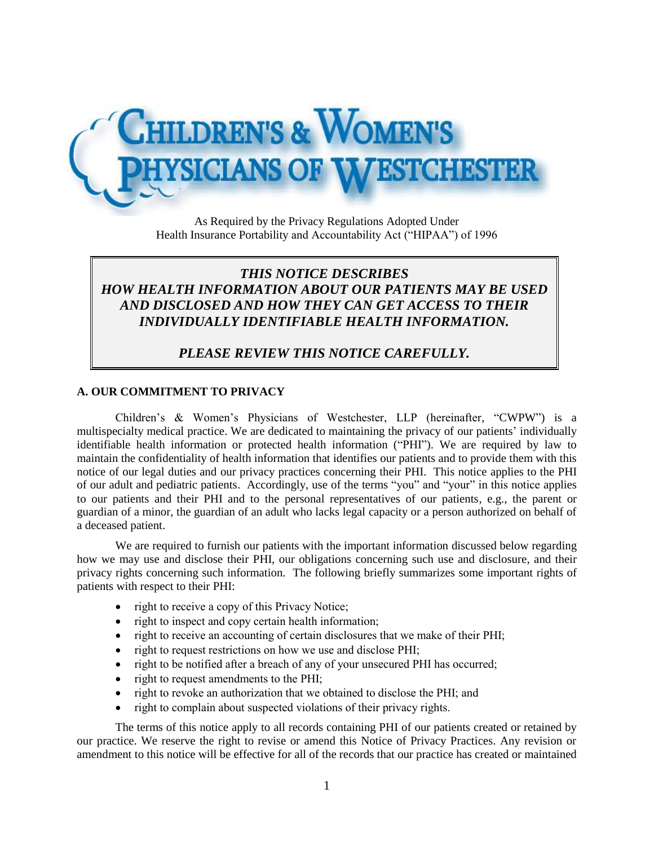

As Required by the Privacy Regulations Adopted Under Health Insurance Portability and Accountability Act ("HIPAA") of 1996

# *THIS NOTICE DESCRIBES HOW HEALTH INFORMATION ABOUT OUR PATIENTS MAY BE USED AND DISCLOSED AND HOW THEY CAN GET ACCESS TO THEIR INDIVIDUALLY IDENTIFIABLE HEALTH INFORMATION.*

*PLEASE REVIEW THIS NOTICE CAREFULLY.*

#### **A. OUR COMMITMENT TO PRIVACY**

Children's & Women's Physicians of Westchester, LLP (hereinafter, "CWPW") is a multispecialty medical practice. We are dedicated to maintaining the privacy of our patients' individually identifiable health information or protected health information ("PHI"). We are required by law to maintain the confidentiality of health information that identifies our patients and to provide them with this notice of our legal duties and our privacy practices concerning their PHI. This notice applies to the PHI of our adult and pediatric patients. Accordingly, use of the terms "you" and "your" in this notice applies to our patients and their PHI and to the personal representatives of our patients, e.g., the parent or guardian of a minor, the guardian of an adult who lacks legal capacity or a person authorized on behalf of a deceased patient.

We are required to furnish our patients with the important information discussed below regarding how we may use and disclose their PHI, our obligations concerning such use and disclosure, and their privacy rights concerning such information. The following briefly summarizes some important rights of patients with respect to their PHI:

- right to receive a copy of this Privacy Notice;
- right to inspect and copy certain health information;
- right to receive an accounting of certain disclosures that we make of their PHI;
- right to request restrictions on how we use and disclose PHI;
- right to be notified after a breach of any of your unsecured PHI has occurred;
- right to request amendments to the PHI;
- right to revoke an authorization that we obtained to disclose the PHI; and
- right to complain about suspected violations of their privacy rights.

The terms of this notice apply to all records containing PHI of our patients created or retained by our practice. We reserve the right to revise or amend this Notice of Privacy Practices. Any revision or amendment to this notice will be effective for all of the records that our practice has created or maintained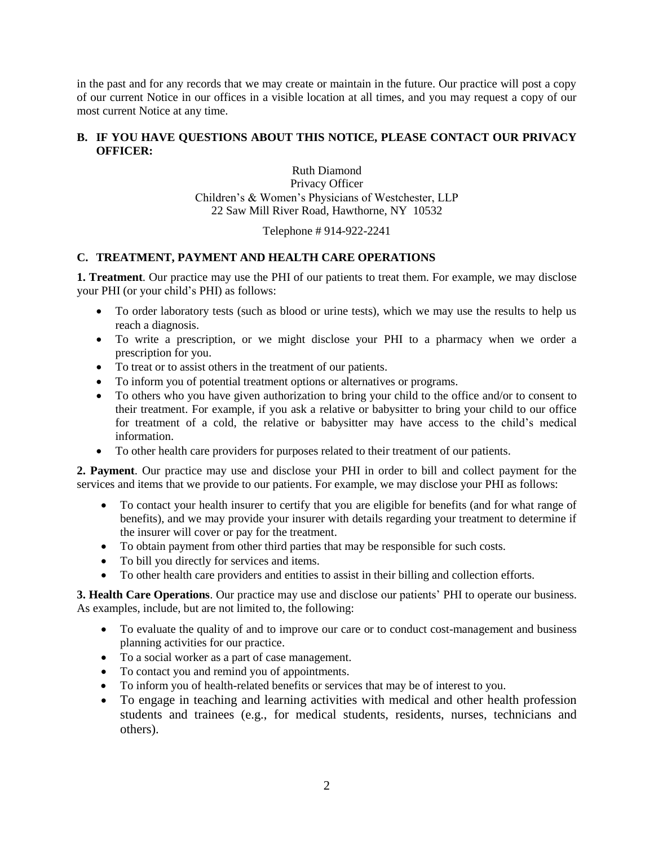in the past and for any records that we may create or maintain in the future. Our practice will post a copy of our current Notice in our offices in a visible location at all times, and you may request a copy of our most current Notice at any time.

## **B. IF YOU HAVE QUESTIONS ABOUT THIS NOTICE, PLEASE CONTACT OUR PRIVACY OFFICER:**

Ruth Diamond Privacy Officer Children's & Women's Physicians of Westchester, LLP 22 Saw Mill River Road, Hawthorne, NY 10532

Telephone # 914-922-2241

# **C. TREATMENT, PAYMENT AND HEALTH CARE OPERATIONS**

**1. Treatment**. Our practice may use the PHI of our patients to treat them. For example, we may disclose your PHI (or your child's PHI) as follows:

- To order laboratory tests (such as blood or urine tests), which we may use the results to help us reach a diagnosis.
- To write a prescription, or we might disclose your PHI to a pharmacy when we order a prescription for you.
- To treat or to assist others in the treatment of our patients.
- To inform you of potential treatment options or alternatives or programs.
- To others who you have given authorization to bring your child to the office and/or to consent to their treatment. For example, if you ask a relative or babysitter to bring your child to our office for treatment of a cold, the relative or babysitter may have access to the child's medical information.
- To other health care providers for purposes related to their treatment of our patients.

**2. Payment**. Our practice may use and disclose your PHI in order to bill and collect payment for the services and items that we provide to our patients. For example, we may disclose your PHI as follows:

- To contact your health insurer to certify that you are eligible for benefits (and for what range of benefits), and we may provide your insurer with details regarding your treatment to determine if the insurer will cover or pay for the treatment.
- To obtain payment from other third parties that may be responsible for such costs.
- To bill you directly for services and items.
- To other health care providers and entities to assist in their billing and collection efforts.

**3. Health Care Operations**. Our practice may use and disclose our patients' PHI to operate our business. As examples, include, but are not limited to, the following:

- To evaluate the quality of and to improve our care or to conduct cost-management and business planning activities for our practice.
- To a social worker as a part of case management.
- To contact you and remind you of appointments.
- To inform you of health-related benefits or services that may be of interest to you.
- To engage in teaching and learning activities with medical and other health profession students and trainees (e.g., for medical students, residents, nurses, technicians and others).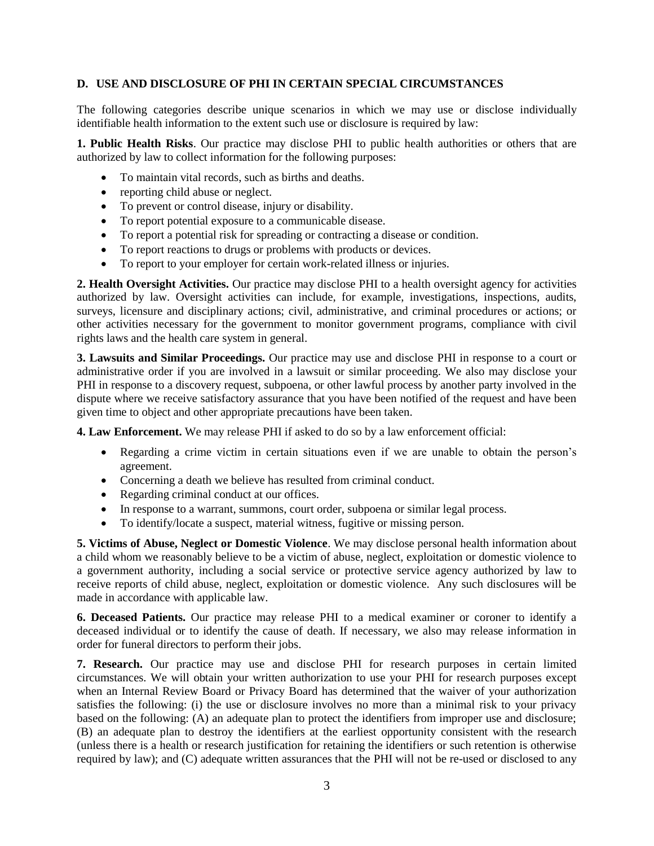#### **D. USE AND DISCLOSURE OF PHI IN CERTAIN SPECIAL CIRCUMSTANCES**

The following categories describe unique scenarios in which we may use or disclose individually identifiable health information to the extent such use or disclosure is required by law:

**1. Public Health Risks**. Our practice may disclose PHI to public health authorities or others that are authorized by law to collect information for the following purposes:

- To maintain vital records, such as births and deaths.
- reporting child abuse or neglect.
- To prevent or control disease, injury or disability.
- To report potential exposure to a communicable disease.
- To report a potential risk for spreading or contracting a disease or condition.
- To report reactions to drugs or problems with products or devices.
- To report to your employer for certain work-related illness or injuries.

**2. Health Oversight Activities.** Our practice may disclose PHI to a health oversight agency for activities authorized by law. Oversight activities can include, for example, investigations, inspections, audits, surveys, licensure and disciplinary actions; civil, administrative, and criminal procedures or actions; or other activities necessary for the government to monitor government programs, compliance with civil rights laws and the health care system in general.

**3. Lawsuits and Similar Proceedings.** Our practice may use and disclose PHI in response to a court or administrative order if you are involved in a lawsuit or similar proceeding. We also may disclose your PHI in response to a discovery request, subpoena, or other lawful process by another party involved in the dispute where we receive satisfactory assurance that you have been notified of the request and have been given time to object and other appropriate precautions have been taken.

**4. Law Enforcement.** We may release PHI if asked to do so by a law enforcement official:

- Regarding a crime victim in certain situations even if we are unable to obtain the person's agreement.
- Concerning a death we believe has resulted from criminal conduct.
- Regarding criminal conduct at our offices.
- In response to a warrant, summons, court order, subpoena or similar legal process.
- To identify/locate a suspect, material witness, fugitive or missing person.

**5. Victims of Abuse, Neglect or Domestic Violence**. We may disclose personal health information about a child whom we reasonably believe to be a victim of abuse, neglect, exploitation or domestic violence to a government authority, including a social service or protective service agency authorized by law to receive reports of child abuse, neglect, exploitation or domestic violence. Any such disclosures will be made in accordance with applicable law.

**6. Deceased Patients.** Our practice may release PHI to a medical examiner or coroner to identify a deceased individual or to identify the cause of death. If necessary, we also may release information in order for funeral directors to perform their jobs.

**7. Research.** Our practice may use and disclose PHI for research purposes in certain limited circumstances. We will obtain your written authorization to use your PHI for research purposes except when an Internal Review Board or Privacy Board has determined that the waiver of your authorization satisfies the following: (i) the use or disclosure involves no more than a minimal risk to your privacy based on the following: (A) an adequate plan to protect the identifiers from improper use and disclosure; (B) an adequate plan to destroy the identifiers at the earliest opportunity consistent with the research (unless there is a health or research justification for retaining the identifiers or such retention is otherwise required by law); and (C) adequate written assurances that the PHI will not be re-used or disclosed to any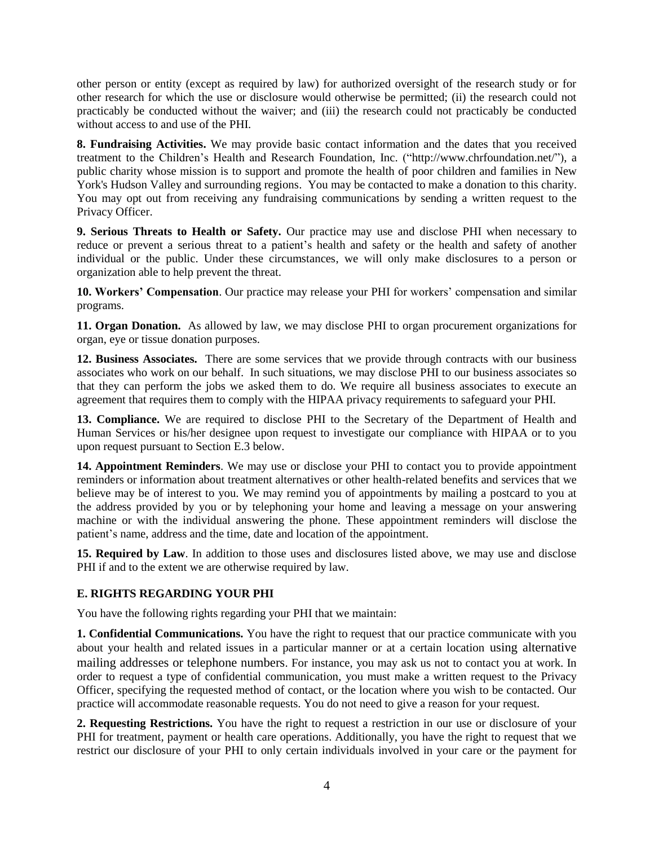other person or entity (except as required by law) for authorized oversight of the research study or for other research for which the use or disclosure would otherwise be permitted; (ii) the research could not practicably be conducted without the waiver; and (iii) the research could not practicably be conducted without access to and use of the PHI.

**8. Fundraising Activities.** We may provide basic contact information and the dates that you received treatment to the Children's Health and Research Foundation, Inc. ("http://www.chrfoundation.net/"), a public charity whose mission is to support and promote the health of poor children and families in New York's Hudson Valley and surrounding regions. You may be contacted to make a donation to this charity. You may opt out from receiving any fundraising communications by sending a written request to the Privacy Officer.

**9. Serious Threats to Health or Safety.** Our practice may use and disclose PHI when necessary to reduce or prevent a serious threat to a patient's health and safety or the health and safety of another individual or the public. Under these circumstances, we will only make disclosures to a person or organization able to help prevent the threat.

**10. Workers' Compensation**. Our practice may release your PHI for workers' compensation and similar programs.

**11. Organ Donation.** As allowed by law, we may disclose PHI to organ procurement organizations for organ, eye or tissue donation purposes.

**12. Business Associates.** There are some services that we provide through contracts with our business associates who work on our behalf. In such situations, we may disclose PHI to our business associates so that they can perform the jobs we asked them to do. We require all business associates to execute an agreement that requires them to comply with the HIPAA privacy requirements to safeguard your PHI.

**13. Compliance.** We are required to disclose PHI to the Secretary of the Department of Health and Human Services or his/her designee upon request to investigate our compliance with HIPAA or to you upon request pursuant to Section E.3 below.

**14. Appointment Reminders**. We may use or disclose your PHI to contact you to provide appointment reminders or information about treatment alternatives or other health-related benefits and services that we believe may be of interest to you. We may remind you of appointments by mailing a postcard to you at the address provided by you or by telephoning your home and leaving a message on your answering machine or with the individual answering the phone. These appointment reminders will disclose the patient's name, address and the time, date and location of the appointment.

**15. Required by Law**. In addition to those uses and disclosures listed above, we may use and disclose PHI if and to the extent we are otherwise required by law.

# **E. RIGHTS REGARDING YOUR PHI**

You have the following rights regarding your PHI that we maintain:

**1. Confidential Communications.** You have the right to request that our practice communicate with you about your health and related issues in a particular manner or at a certain location using alternative mailing addresses or telephone numbers. For instance, you may ask us not to contact you at work. In order to request a type of confidential communication, you must make a written request to the Privacy Officer, specifying the requested method of contact, or the location where you wish to be contacted. Our practice will accommodate reasonable requests. You do not need to give a reason for your request.

**2. Requesting Restrictions.** You have the right to request a restriction in our use or disclosure of your PHI for treatment, payment or health care operations. Additionally, you have the right to request that we restrict our disclosure of your PHI to only certain individuals involved in your care or the payment for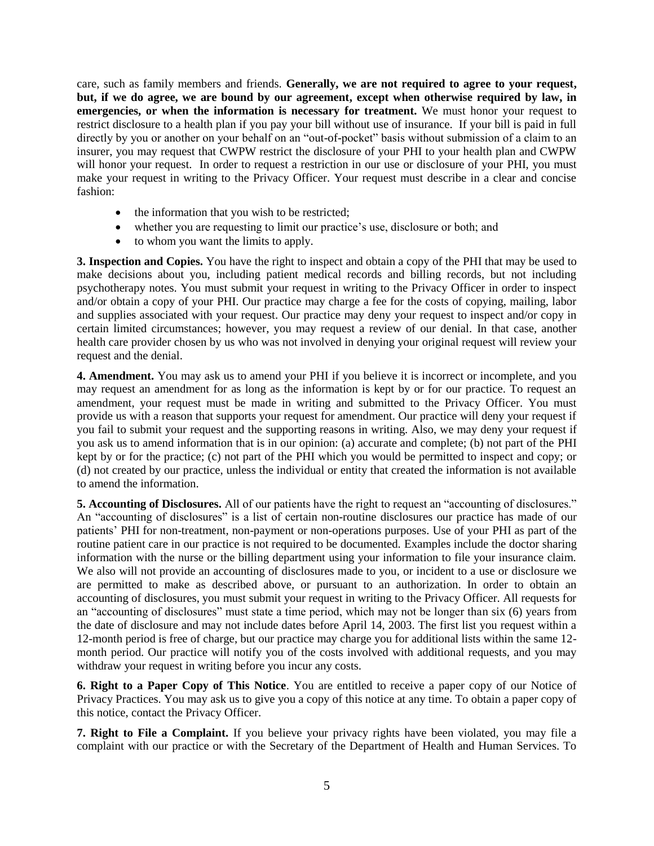care, such as family members and friends. **Generally, we are not required to agree to your request, but, if we do agree, we are bound by our agreement, except when otherwise required by law, in emergencies, or when the information is necessary for treatment.** We must honor your request to restrict disclosure to a health plan if you pay your bill without use of insurance. If your bill is paid in full directly by you or another on your behalf on an "out-of-pocket" basis without submission of a claim to an insurer, you may request that CWPW restrict the disclosure of your PHI to your health plan and CWPW will honor your request. In order to request a restriction in our use or disclosure of your PHI, you must make your request in writing to the Privacy Officer. Your request must describe in a clear and concise fashion:

- the information that you wish to be restricted;
- whether you are requesting to limit our practice's use, disclosure or both; and
- to whom you want the limits to apply.

**3. Inspection and Copies.** You have the right to inspect and obtain a copy of the PHI that may be used to make decisions about you, including patient medical records and billing records, but not including psychotherapy notes. You must submit your request in writing to the Privacy Officer in order to inspect and/or obtain a copy of your PHI. Our practice may charge a fee for the costs of copying, mailing, labor and supplies associated with your request. Our practice may deny your request to inspect and/or copy in certain limited circumstances; however, you may request a review of our denial. In that case, another health care provider chosen by us who was not involved in denying your original request will review your request and the denial.

**4. Amendment.** You may ask us to amend your PHI if you believe it is incorrect or incomplete, and you may request an amendment for as long as the information is kept by or for our practice. To request an amendment, your request must be made in writing and submitted to the Privacy Officer. You must provide us with a reason that supports your request for amendment. Our practice will deny your request if you fail to submit your request and the supporting reasons in writing. Also, we may deny your request if you ask us to amend information that is in our opinion: (a) accurate and complete; (b) not part of the PHI kept by or for the practice; (c) not part of the PHI which you would be permitted to inspect and copy; or (d) not created by our practice, unless the individual or entity that created the information is not available to amend the information.

**5. Accounting of Disclosures.** All of our patients have the right to request an "accounting of disclosures." An "accounting of disclosures" is a list of certain non-routine disclosures our practice has made of our patients' PHI for non-treatment, non-payment or non-operations purposes. Use of your PHI as part of the routine patient care in our practice is not required to be documented. Examples include the doctor sharing information with the nurse or the billing department using your information to file your insurance claim. We also will not provide an accounting of disclosures made to you, or incident to a use or disclosure we are permitted to make as described above, or pursuant to an authorization. In order to obtain an accounting of disclosures, you must submit your request in writing to the Privacy Officer. All requests for an "accounting of disclosures" must state a time period, which may not be longer than six (6) years from the date of disclosure and may not include dates before April 14, 2003. The first list you request within a 12-month period is free of charge, but our practice may charge you for additional lists within the same 12 month period. Our practice will notify you of the costs involved with additional requests, and you may withdraw your request in writing before you incur any costs.

**6. Right to a Paper Copy of This Notice**. You are entitled to receive a paper copy of our Notice of Privacy Practices. You may ask us to give you a copy of this notice at any time. To obtain a paper copy of this notice, contact the Privacy Officer.

**7. Right to File a Complaint.** If you believe your privacy rights have been violated, you may file a complaint with our practice or with the Secretary of the Department of Health and Human Services. To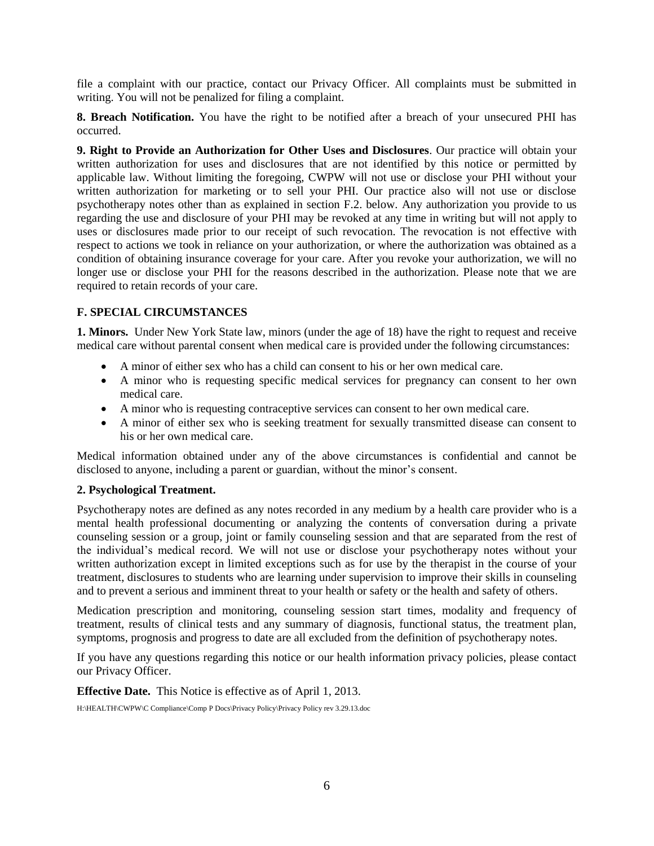file a complaint with our practice, contact our Privacy Officer. All complaints must be submitted in writing. You will not be penalized for filing a complaint.

**8. Breach Notification.** You have the right to be notified after a breach of your unsecured PHI has occurred.

**9. Right to Provide an Authorization for Other Uses and Disclosures**. Our practice will obtain your written authorization for uses and disclosures that are not identified by this notice or permitted by applicable law. Without limiting the foregoing, CWPW will not use or disclose your PHI without your written authorization for marketing or to sell your PHI. Our practice also will not use or disclose psychotherapy notes other than as explained in section F.2. below. Any authorization you provide to us regarding the use and disclosure of your PHI may be revoked at any time in writing but will not apply to uses or disclosures made prior to our receipt of such revocation. The revocation is not effective with respect to actions we took in reliance on your authorization, or where the authorization was obtained as a condition of obtaining insurance coverage for your care. After you revoke your authorization, we will no longer use or disclose your PHI for the reasons described in the authorization. Please note that we are required to retain records of your care.

## **F. SPECIAL CIRCUMSTANCES**

**1. Minors.** Under New York State law, minors (under the age of 18) have the right to request and receive medical care without parental consent when medical care is provided under the following circumstances:

- A minor of either sex who has a child can consent to his or her own medical care.
- A minor who is requesting specific medical services for pregnancy can consent to her own medical care.
- A minor who is requesting contraceptive services can consent to her own medical care.
- A minor of either sex who is seeking treatment for sexually transmitted disease can consent to his or her own medical care.

Medical information obtained under any of the above circumstances is confidential and cannot be disclosed to anyone, including a parent or guardian, without the minor's consent.

#### **2. Psychological Treatment.**

Psychotherapy notes are defined as any notes recorded in any medium by a health care provider who is a mental health professional documenting or analyzing the contents of conversation during a private counseling session or a group, joint or family counseling session and that are separated from the rest of the individual's medical record. We will not use or disclose your psychotherapy notes without your written authorization except in limited exceptions such as for use by the therapist in the course of your treatment, disclosures to students who are learning under supervision to improve their skills in counseling and to prevent a serious and imminent threat to your health or safety or the health and safety of others.

Medication prescription and monitoring, counseling session start times, modality and frequency of treatment, results of clinical tests and any summary of diagnosis, functional status, the treatment plan, symptoms, prognosis and progress to date are all excluded from the definition of psychotherapy notes.

If you have any questions regarding this notice or our health information privacy policies, please contact our Privacy Officer.

**Effective Date.** This Notice is effective as of April 1, 2013.

H:\HEALTH\CWPW\C Compliance\Comp P Docs\Privacy Policy\Privacy Policy rev 3.29.13.doc